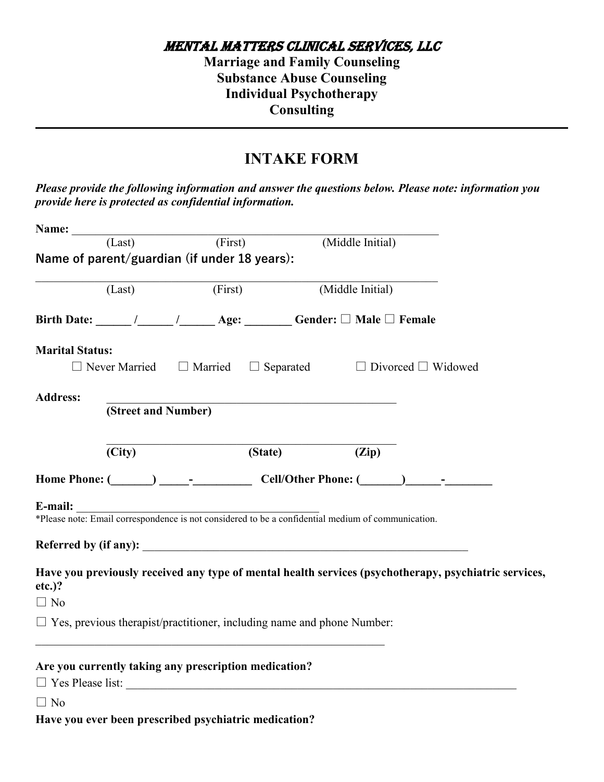Mental Matters CliniCal serviCes, llC

**Marriage and Family Counseling Substance Abuse Counseling Individual Psychotherapy Consulting**

## **INTAKE FORM**

*Please provide the following information and answer the questions below. Please note: information you provide here is protected as confidential information.* 

|                        | Name: $(Last)$ (                                                                                                     |  | (First) | (Middle Initial) |                  |                                                                                                       |
|------------------------|----------------------------------------------------------------------------------------------------------------------|--|---------|------------------|------------------|-------------------------------------------------------------------------------------------------------|
|                        | Name of parent/guardian (if under 18 years):                                                                         |  |         |                  |                  |                                                                                                       |
|                        | (Last)                                                                                                               |  | (First) |                  | (Middle Initial) |                                                                                                       |
|                        |                                                                                                                      |  |         |                  |                  |                                                                                                       |
| <b>Marital Status:</b> |                                                                                                                      |  |         |                  |                  |                                                                                                       |
|                        |                                                                                                                      |  |         |                  |                  | $\Box$ Never Married $\Box$ Married $\Box$ Separated $\Box$ Divorced $\Box$ Widowed                   |
| <b>Address:</b>        |                                                                                                                      |  |         |                  |                  |                                                                                                       |
|                        | (Street and Number)                                                                                                  |  |         |                  |                  |                                                                                                       |
|                        |                                                                                                                      |  |         |                  |                  |                                                                                                       |
|                        | (City)                                                                                                               |  | (State) |                  | (Zip)            |                                                                                                       |
|                        |                                                                                                                      |  |         |                  |                  |                                                                                                       |
| E-mail:                | <b>E-mail:</b><br>*Please note: Email correspondence is not considered to be a confidential medium of communication. |  |         |                  |                  |                                                                                                       |
|                        |                                                                                                                      |  |         |                  |                  |                                                                                                       |
|                        |                                                                                                                      |  |         |                  |                  |                                                                                                       |
| $etc.$ )?              |                                                                                                                      |  |         |                  |                  | Have you previously received any type of mental health services (psychotherapy, psychiatric services, |
| $\Box$ No              |                                                                                                                      |  |         |                  |                  |                                                                                                       |
|                        | $\Box$ Yes, previous therapist/practitioner, including name and phone Number:                                        |  |         |                  |                  |                                                                                                       |
|                        |                                                                                                                      |  |         |                  |                  |                                                                                                       |
|                        | Are you currently taking any prescription medication?                                                                |  |         |                  |                  |                                                                                                       |
|                        |                                                                                                                      |  |         |                  |                  |                                                                                                       |
| $\Box$ No              |                                                                                                                      |  |         |                  |                  |                                                                                                       |
|                        | Have you ever been prescribed psychiatric medication?                                                                |  |         |                  |                  |                                                                                                       |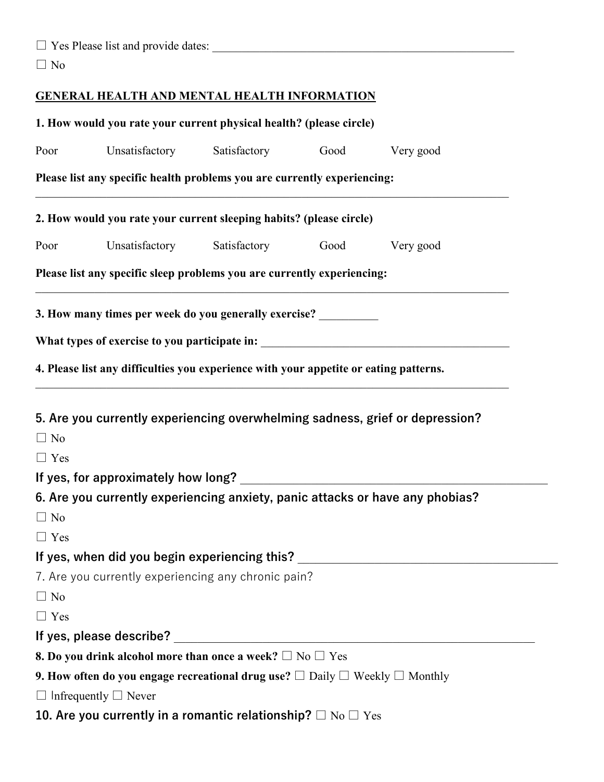| $\Box$ Yes Please list and provide dates: |  |
|-------------------------------------------|--|
|                                           |  |

□ No

## **GENERAL HEALTH AND MENTAL HEALTH INFORMATION**

|            | 1. How would you rate your current physical health? (please circle)                                  |      |                                                                               |
|------------|------------------------------------------------------------------------------------------------------|------|-------------------------------------------------------------------------------|
| Poor       | Unsatisfactory Satisfactory                                                                          | Good | Very good                                                                     |
|            | Please list any specific health problems you are currently experiencing:                             |      |                                                                               |
|            | 2. How would you rate your current sleeping habits? (please circle)                                  |      |                                                                               |
| Poor       | Unsatisfactory Satisfactory                                                                          | Good | Very good                                                                     |
|            | Please list any specific sleep problems you are currently experiencing:                              |      |                                                                               |
|            | 3. How many times per week do you generally exercise?                                                |      |                                                                               |
|            |                                                                                                      |      |                                                                               |
|            | 4. Please list any difficulties you experience with your appetite or eating patterns.                |      |                                                                               |
|            |                                                                                                      |      |                                                                               |
|            |                                                                                                      |      | 5. Are you currently experiencing overwhelming sadness, grief or depression?  |
| $\Box$ No  |                                                                                                      |      |                                                                               |
| $\Box$ Yes |                                                                                                      |      |                                                                               |
|            |                                                                                                      |      |                                                                               |
|            |                                                                                                      |      | 6. Are you currently experiencing anxiety, panic attacks or have any phobias? |
| $\Box$ No  |                                                                                                      |      |                                                                               |
| $\Box$ Yes |                                                                                                      |      |                                                                               |
|            | If yes, when did you begin experiencing this?                                                        |      |                                                                               |
|            | 7. Are you currently experiencing any chronic pain?                                                  |      |                                                                               |
| $\Box$ No  |                                                                                                      |      |                                                                               |
| $\Box$ Yes |                                                                                                      |      |                                                                               |
|            | If yes, please describe?                                                                             |      |                                                                               |
|            | <b>8. Do you drink alcohol more than once a week?</b> $\Box$ No $\Box$ Yes                           |      |                                                                               |
|            | 9. How often do you engage recreational drug use? $\square$ Daily $\square$ Weekly $\square$ Monthly |      |                                                                               |
|            | $\Box$ Infrequently $\Box$ Never                                                                     |      |                                                                               |
|            | 10. Are you currently in a romantic relationship? $\square$ No $\square$ Yes                         |      |                                                                               |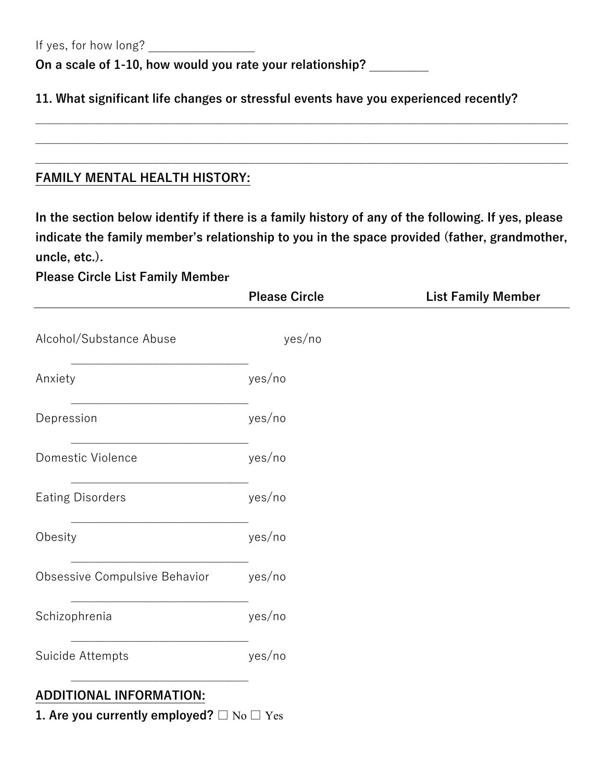If yes, for how long?

**On a scale of 1-10, how would you rate your relationship?** \_\_\_\_\_\_\_\_\_\_

**11. What significant life changes or stressful events have you experienced recently?**

## **FAMILY MENTAL HEALTH HISTORY:**

**In the section below identify if there is a family history of any of the following. If yes, please indicate the family member's relationship to you in the space provided (father, grandmother, uncle, etc.).**

\_\_\_\_\_\_\_\_\_\_\_\_\_\_\_\_\_\_\_\_\_\_\_\_\_\_\_\_\_\_\_\_\_\_\_\_\_\_\_\_\_\_\_\_\_\_\_\_\_\_\_\_\_\_\_\_\_\_\_\_\_\_\_\_\_\_\_\_\_\_\_\_\_\_\_\_\_\_\_\_\_\_\_\_\_\_\_\_\_\_

 $\_$  , and the set of the set of the set of the set of the set of the set of the set of the set of the set of the set of the set of the set of the set of the set of the set of the set of the set of the set of the set of th

\_\_\_\_\_\_\_\_\_\_\_\_\_\_\_\_\_\_\_\_\_\_\_\_\_\_\_\_\_\_\_\_\_\_\_\_\_\_\_\_\_\_\_\_\_\_\_\_\_\_\_\_\_\_\_\_\_\_\_\_\_\_\_\_\_\_\_\_\_\_\_\_\_\_\_\_\_\_\_\_\_\_\_\_\_\_\_\_\_\_

**Please Circle List Family Member** 

|                                | <b>Please Circle</b> | <b>List Family Member</b> |
|--------------------------------|----------------------|---------------------------|
| Alcohol/Substance Abuse        | yes/no               |                           |
| Anxiety                        | yes/no               |                           |
| Depression                     | yes/no               |                           |
| Domestic Violence              | yes/no               |                           |
| <b>Eating Disorders</b>        | yes/no               |                           |
| Obesity                        | yes/no               |                           |
| Obsessive Compulsive Behavior  | yes/no               |                           |
| Schizophrenia                  | yes/no               |                           |
| Suicide Attempts               | yes/no               |                           |
| <b>ADDITIONAL INFORMATION:</b> |                      |                           |

**1. Are you currently employed?** □ No □ Yes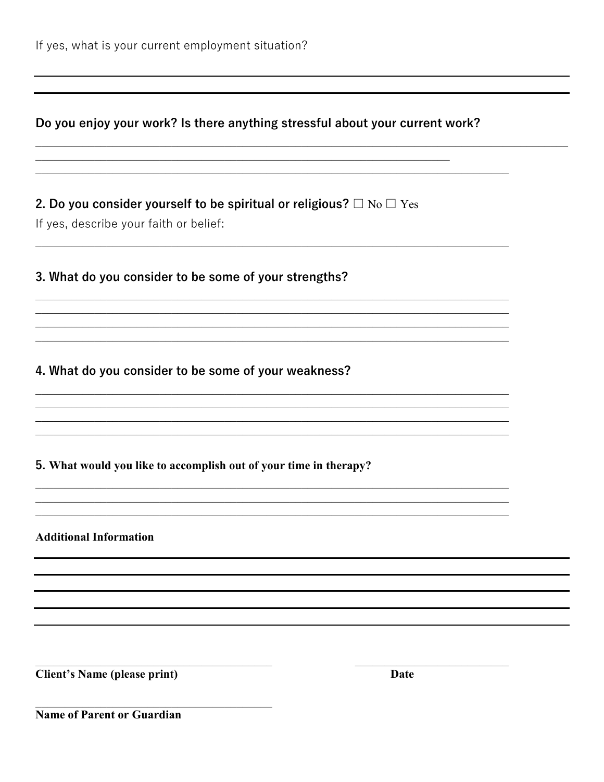## Do you enjoy your work? Is there anything stressful about your current work?

2. Do you consider yourself to be spiritual or religious?  $\square$  No  $\square$  Yes

If yes, describe your faith or belief:

3. What do you consider to be some of your strengths?

4. What do you consider to be some of your weakness?

5. What would you like to accomplish out of your time in therapy?

**Additional Information** 

**Client's Name (please print)** 

**Date** 

Name of Parent or Guardian